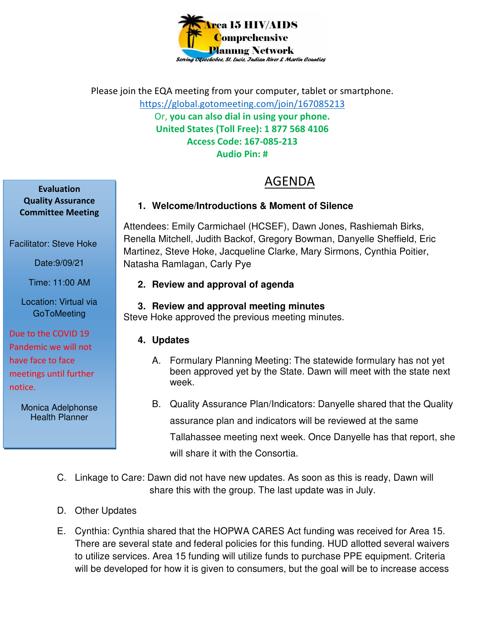

Please join the EQA meeting from your computer, tablet or smartphone. https://global.gotomeeting.com/join/167085213 Or, **you can also dial in using your phone. United States (Toll Free): 1 877 568 4106 Access Code: 167-085-213 Audio Pin: #** 

# AGENDA

# **1. Welcome/Introductions & Moment of Silence**

Attendees: Emily Carmichael (HCSEF), Dawn Jones, Rashiemah Birks, Renella Mitchell, Judith Backof, Gregory Bowman, Danyelle Sheffield, Eric Martinez, Steve Hoke, Jacqueline Clarke, Mary Sirmons, Cynthia Poitier, Natasha Ramlagan, Carly Pye

### **2. Review and approval of agenda**

## **3. Review and approval meeting minutes**

Steve Hoke approved the previous meeting minutes.

# **4. Updates**

- A. Formulary Planning Meeting: The statewide formulary has not yet been approved yet by the State. Dawn will meet with the state next week.
- B. Quality Assurance Plan/Indicators: Danyelle shared that the Quality assurance plan and indicators will be reviewed at the same Tallahassee meeting next week. Once Danyelle has that report, she will share it with the Consortia.
- C. Linkage to Care: Dawn did not have new updates. As soon as this is ready, Dawn will share this with the group. The last update was in July.
- D. Other Updates
- E. Cynthia: Cynthia shared that the HOPWA CARES Act funding was received for Area 15. There are several state and federal policies for this funding. HUD allotted several waivers to utilize services. Area 15 funding will utilize funds to purchase PPE equipment. Criteria will be developed for how it is given to consumers, but the goal will be to increase access

**Evaluation Quality Assurance Committee Meeting** 

Facilitator: Steve Hoke

Date:9/09/21

Time: 11:00 AM

Location: Virtual via **GoToMeeting** 

Due to the COVID 19 Pandemic we will not have face to face meetings until further notice.

> Monica Adelphonse Health Planner